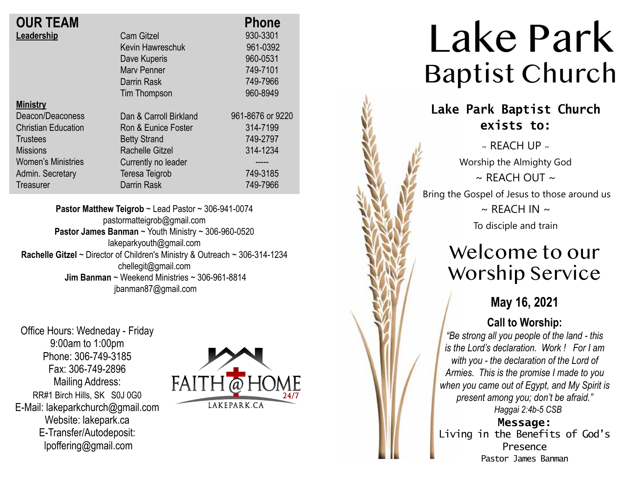| <b>OUR TEAM</b>            |                        | <b>Phone</b>     |
|----------------------------|------------------------|------------------|
| Leadership                 | <b>Cam Gitzel</b>      | 930-3301         |
|                            | Kevin Hawreschuk       | 961-0392         |
|                            | Dave Kuperis           | 960-0531         |
|                            | Mary Penner            | 749-7101         |
|                            | Darrin Rask            | 749-7966         |
|                            | Tim Thompson           | 960-8949         |
| <b>Ministry</b>            |                        |                  |
| Deacon/Deaconess           | Dan & Carroll Birkland | 961-8676 or 9220 |
| <b>Christian Education</b> | Ron & Eunice Foster    | 314-7199         |
| <b>Trustees</b>            | <b>Betty Strand</b>    | 749-2797         |
| <b>Missions</b>            | Rachelle Gitzel        | 314-1234         |
| <b>Women's Ministries</b>  | Currently no leader    |                  |
| Admin. Secretary           | <b>Teresa Teigrob</b>  | 749-3185         |
| Treasurer                  | Darrin Rask            | 749-7966         |

**Pastor Matthew Teigrob** ~ Lead Pastor ~ 306-941-0074 pastormatteigrob@gmail.com **Pastor James Banman** ~ Youth Ministry ~ 306-960-0520 lakeparkyouth@gmail.com **Rachelle Gitzel** ~ Director of Children's Ministry & Outreach ~ 306-314-1234 chellegit@gmail.com  **Jim Banman** ~ Weekend Ministries ~ 306-961-8814 jbanman87@gmail.com

Office Hours: Wedneday - Friday 9:00am to 1:00pm Phone: 306-749-3185 Fax: 306-749-2896 Mailing Address: RR#1 Birch Hills, SK S0J 0G0 E-Mail: lakeparkchurch@gmail.com Website: lakepark.ca E-Transfer/Autodeposit: lpoffering@gmail.com



# Lake Park Baptist Church

## **Lake Park Baptist Church exists to:**

 $\sim$  RFACH UP  $\sim$ Worship the Almighty God  $\sim$  REACH OUT  $\sim$ Bring the Gospel of Jesus to those around us  $\sim$  REACH IN  $\sim$ 

To disciple and train

## Welcome to our Worship Service

## **May 16, 2021**

### **Call to Worship:**

*"Be strong all you people of the land - this is the Lord's declaration. Work ! For I am with you - the declaration of the Lord of Armies. This is the promise I made to you when you came out of Egypt, and My Spirit is present among you; don't be afraid." Haggai 2:4b-5 CSB*

**Message:** Living in the Benefits of God's Presence Pastor James Banman